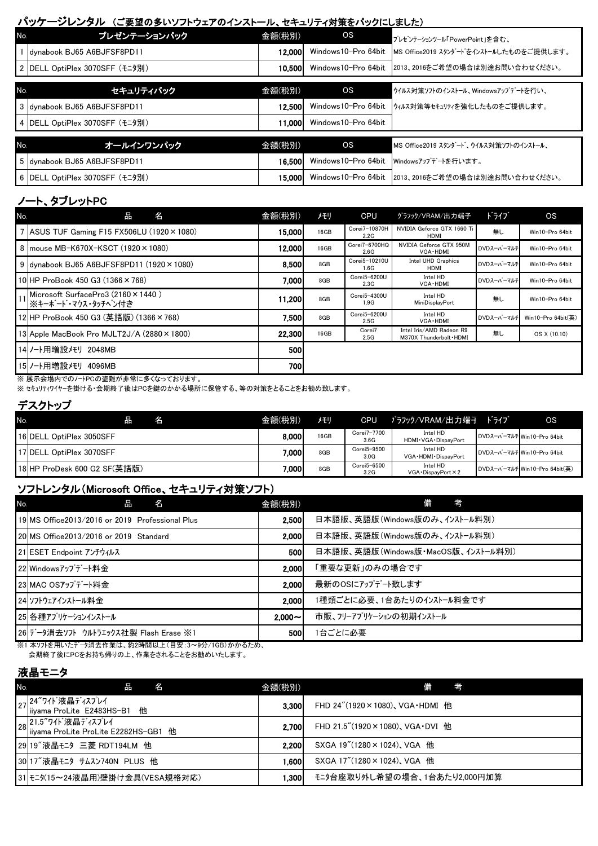#### パッケージレンタル (ご要望の多いソフトウェアのインストール、セキュリティ対策をパックにしました)

| No. | プレゼンテーションパック                 | 金額(税別) | os                  | プレゼンテーションツール「PowerPoint」を含む.             |
|-----|------------------------------|--------|---------------------|------------------------------------------|
|     | Idvnabook BJ65 A6BJFSF8PD11  | 12.000 | Windows10-Pro 64bit | ■MS Office2019 スタンダードをインストールしたものをご提供します。 |
|     | DELL OptiPlex 3070SFF(モニタ別)  | 10.500 | Windows10-Pro 64bit | 2013、2016をご希望の場合は別途お問い合わせください。           |
|     |                              |        |                     |                                          |
| No. | セキュリティパック                    | 金額(税別) | os                  | ウイルス対策ソフトのインストール、Windowsアップテ゛ートを行い、      |
| 3   | dynabook BJ65 A6BJFSF8PD11   | 12.500 | Windows10-Pro 64bit | ウィルス対策等セキュリティを強化したものをご提供します。             |
| 4   | DELL OptiPlex 3070SFF (モニタ別) | 11.000 | Windows10-Pro 64bit |                                          |
|     |                              |        |                     |                                          |
| No. | オールインワンパック                   | 金額(税別) | os                  | MS Office2019 スタンダード、ウイルス対策ソフトのインストール、   |
|     | 5 dynabook BJ65 A6BJFSF8PD11 | 16.500 | Windows10-Pro 64bit | Windowsアップデートを行います。                      |
| 6   | DELL OptiPlex 3070SFF (モニタ別) | 15.000 | Windows10-Pro 64bit | 2013、2016をご希望の場合は別途お問い合わせください。           |

# ノート、タブレットPC

| No. | 名<br>出                                                         | 金額(税別)     | メモリ  | <b>CPU</b>            | グラフック/VRAM/出力端子                                      | ドライブ       | <b>OS</b>          |
|-----|----------------------------------------------------------------|------------|------|-----------------------|------------------------------------------------------|------------|--------------------|
|     | 7 ASUS TUF Gaming F15 FX506LU $(1920 \times 1080)$             | 15,000     | 16GB | Corei7-10870H<br>2.2G | NVIDIA Geforce GTX 1660 Ti<br>HDMI                   | 無し         | Win10-Pro 64bit    |
|     | 8 mouse MB-K670X-KSCT (1920 × 1080)                            | 12,000     | 16GB | Corei7-6700HQ<br>2.6G | NVIDIA Geforce GTX 950M<br>VGA - HDMI                | DVDスーパーマルチ | Win10-Pro 64bit    |
|     | $9$ dvnabook BJ65 A6BJFSF8PD11 (1920 $\times$ 1080)            | 8.500      | 8GB  | Corei5-10210U<br>1.6G | Intel UHD Graphics<br>HDMI                           | DVDスーパーマルチ | Win10-Pro 64bit    |
|     | 10 HP ProBook 450 G3 (1366 × 768)                              | 7,000      | 8GB  | Corei5-6200U<br>2.3G  | Intel HD<br>VGA · HDMI                               | DVDスーパーマルチ | Win10-Pro 64bit    |
|     | Microsoft SurfacePro3 (2160×1440)<br>  11   ※キーボード・マウス・タッチヘン付き | 11.200     | 8GB  | Corei5-4300U<br>1.9G  | Intel HD<br>MiniDisplayPort                          | 無し         | Win10-Pro 64bit    |
|     | 12 HP ProBook 450 G3 (英語版) (1366×768)                          | 7.500      | 8GB  | Corei5-6200U<br>2.5G  | Intel HD<br>VGA - HDMI                               | DVDスーパーマルチ | Win10-Pro 64bit(英) |
|     | 13 Apple MacBook Pro MJLT2J/A (2880 × 1800)                    | 22,300     | 16GB | Corei7<br>2.5G        | Intel Iris/AMD Radeon R9<br>M370X Thunderbolt . HDMI | 無し         | OS X (10.10)       |
|     | 14 ノート用増設メモリ 2048MB                                            | <b>500</b> |      |                       |                                                      |            |                    |
|     | 15 /一ト用増設メモリ<br>4096MB                                         | 7001       |      |                       |                                                      |            |                    |

※ 展示会場内でのノートPCの盗難が非常に多くなっております。

※ セキュリティワイヤーを掛ける・会期終了後はPCを鍵のかかる場所に保管する、等の対策をとることをお勧め致します。

#### デスクトップ

| No. | 名                            | 金額(税別) | メモリ  | CPU                 | ブラフック/VRAM/出力端子                     | ドライブ | <b>OS</b>                     |
|-----|------------------------------|--------|------|---------------------|-------------------------------------|------|-------------------------------|
|     | 16 DELL OptiPlex 3050SFF     | 8.000  | 16GB | Corei7-7700<br>3.6G | Intel HD<br>HDMI · VGA · DispayPort |      | DVDスーパーマルチ Win10-Pro 64bit    |
|     | 17 IDELL OptiPlex 3070SFF    | 7.000  | 8GB  | Corei5-9500<br>3.0G | Intel HD<br>VGA · HDMI · DispayPort |      | DVDスーパーマルチ Win10-Pro 64bit    |
|     | 18 HP ProDesk 600 G2 SF(英語版) | 7.000  | 8GB  | Corei5-6500<br>3.2G | Intel HD<br>VGA . DispayPort × 2    |      | DVDスーパーマルチ Win10-Pro 64bit(英) |

## ソフトレンタル(Microsoft Office、セキュリティ対策ソフト)

| No. | 名<br>品                                          | 金額(税別)       | 考<br>備                             |
|-----|-------------------------------------------------|--------------|------------------------------------|
|     | 19 MS Office2013/2016 or 2019 Professional Plus | 2.500        | 日本語版、英語版(Windows版のみ、インストール料別)      |
|     | 20 MS Office2013/2016 or 2019 Standard          | 2.000        | 日本語版、英語版(Windows版のみ、インストール料別)      |
|     | 21 ESET Endpoint アンチウィルス                        | 500          | 日本語版、英語版(Windows版・MacOS版、インストール料別) |
|     | 22 Windowsアップデート料金                              | 2.000        | 「重要な更新」のみの場合です                     |
|     | 23 MAC OSアップデート料金                               | 2.000        | 最新のOSにアップデート致します                   |
|     | 24 ソフトウェアインストール料金                               | 2.000        | 1種類ごとに必要、1台あたりのインストール料金です          |
|     | 25 各種アプリケーションインストール                             | $2.000 \sim$ | 市販、フリーアプリケーションの初期インストール            |
|     | 26 データ消去ソフト ウルトラエックス社製 Flash Erase ※1           | 500          | 1台ごとに必要                            |

※1 本ソフトを用いたデータ消去作業は、約2時間以上(目安:3~9分/1GB)かかるため、

会期終了後にPCをお持ち帰りの上、作業をされることをお勧めいたします。

### 液晶モニタ

| No. | 名<br>品                                                           | 金額(税別)  | 考<br>備                                    |  |  |  |  |  |
|-----|------------------------------------------------------------------|---------|-------------------------------------------|--|--|--|--|--|
|     | 27 24"ワイト゛液晶ディスプレイ<br> 27 iiyama ProLite E2483HS-B1 他            | 3.300   | FHD $24''(1920 \times 1080)$ , VGA HDMI 他 |  |  |  |  |  |
|     | 28 21.5"ワイト゛液晶ディスプレイ<br>28 liiyama ProLite ProLite E2282HS-GB1 他 | 2.700   | FHD 21.5"(1920×1080), VGA DVI 他           |  |  |  |  |  |
|     | 29 19"液晶モニタ 三菱 RDT194LM 他                                        | 2.200   | SXGA 19"(1280×1024), VGA 他                |  |  |  |  |  |
|     | 30 17"液晶モニタ サムスン740N PLUS 他                                      | 1.600 l | SXGA 17" (1280 × 1024), VGA 他             |  |  |  |  |  |
|     | 31 モンタ15~24液晶用)壁掛け金具(VESA規格対応)                                   | 1.300 l | モニタ台座取り外し希望の場合、1台あたり2,000円加算              |  |  |  |  |  |